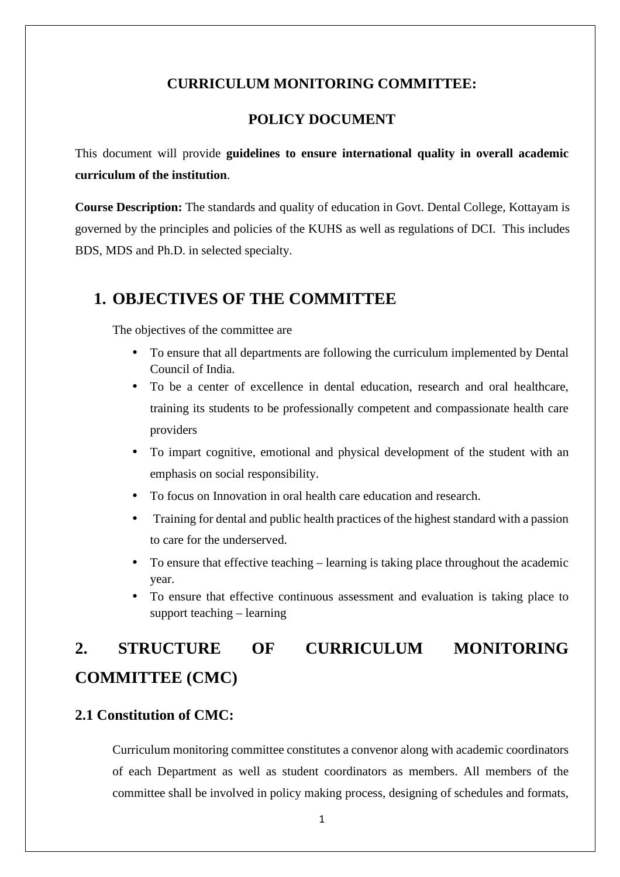#### **CURRICULUM MONITORING COMMITTEE:**

#### **POLICY DOCUMENT**

This document will provide **guidelines to ensure international quality in overall academic curriculum of the institution**.

**Course Description:** The standards and quality of education in Govt. Dental College, Kottayam is governed by the principles and policies of the KUHS as well as regulations of DCI. This includes BDS, MDS and Ph.D. in selected specialty.

### **1. OBJECTIVES OF THE COMMITTEE**

The objectives of the committee are

- To ensure that all departments are following the curriculum implemented by Dental Council of India.
- To be a center of excellence in dental education, research and oral healthcare, training its students to be professionally competent and compassionate health care providers
- To impart cognitive, emotional and physical development of the student with an emphasis on social responsibility.
- To focus on Innovation in oral health care education and research.
- Training for dental and public health practices of the highest standard with a passion to care for the underserved.
- To ensure that effective teaching learning is taking place throughout the academic year.
- To ensure that effective continuous assessment and evaluation is taking place to support teaching – learning

## **2. STRUCTURE OF CURRICULUM MONITORING COMMITTEE (CMC)**

#### **2.1 Constitution of CMC:**

Curriculum monitoring committee constitutes a convenor along with academic coordinators of each Department as well as student coordinators as members. All members of the committee shall be involved in policy making process, designing of schedules and formats,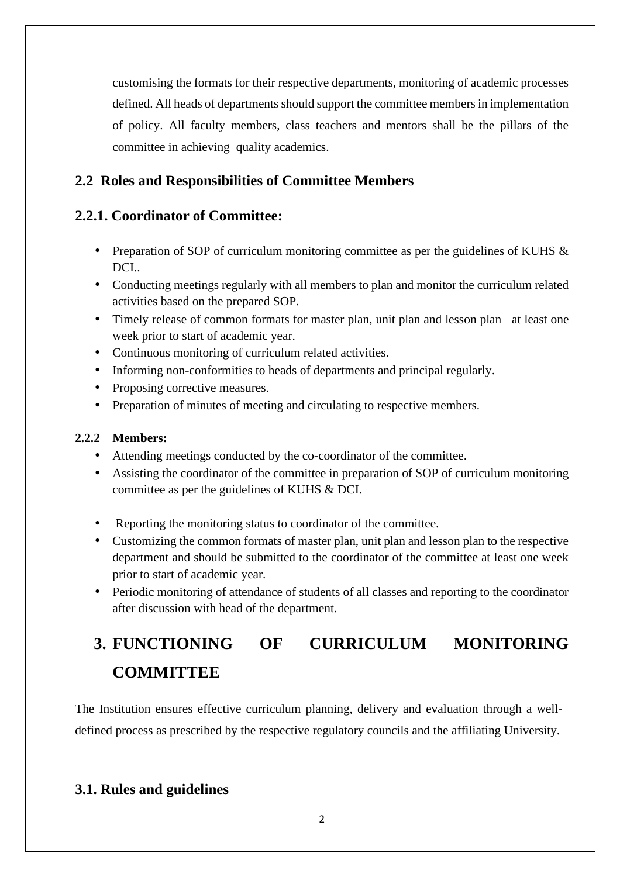customising the formats for their respective departments, monitoring of academic processes defined. All heads of departments should support the committee members in implementation of policy. All faculty members, class teachers and mentors shall be the pillars of the committee in achieving quality academics.

#### **2.2 Roles and Responsibilities of Committee Members**

#### **2.2.1. Coordinator of Committee:**

- Preparation of SOP of curriculum monitoring committee as per the guidelines of KUHS  $\&$ DCI..
- Conducting meetings regularly with all members to plan and monitor the curriculum related activities based on the prepared SOP.
- Timely release of common formats for master plan, unit plan and lesson plan at least one week prior to start of academic year.
- Continuous monitoring of curriculum related activities.
- Informing non-conformities to heads of departments and principal regularly.
- Proposing corrective measures.
- Preparation of minutes of meeting and circulating to respective members.

#### **2.2.2 Members:**

- Attending meetings conducted by the co-coordinator of the committee.
- Assisting the coordinator of the committee in preparation of SOP of curriculum monitoring committee as per the guidelines of KUHS & DCI.
- Reporting the monitoring status to coordinator of the committee.
- Customizing the common formats of master plan, unit plan and lesson plan to the respective department and should be submitted to the coordinator of the committee at least one week prior to start of academic year.
- Periodic monitoring of attendance of students of all classes and reporting to the coordinator after discussion with head of the department.

# **3. FUNCTIONING OF CURRICULUM MONITORING COMMITTEE**

The Institution ensures effective curriculum planning, delivery and evaluation through a welldefined process as prescribed by the respective regulatory councils and the affiliating University.

### **3.1. Rules and guidelines**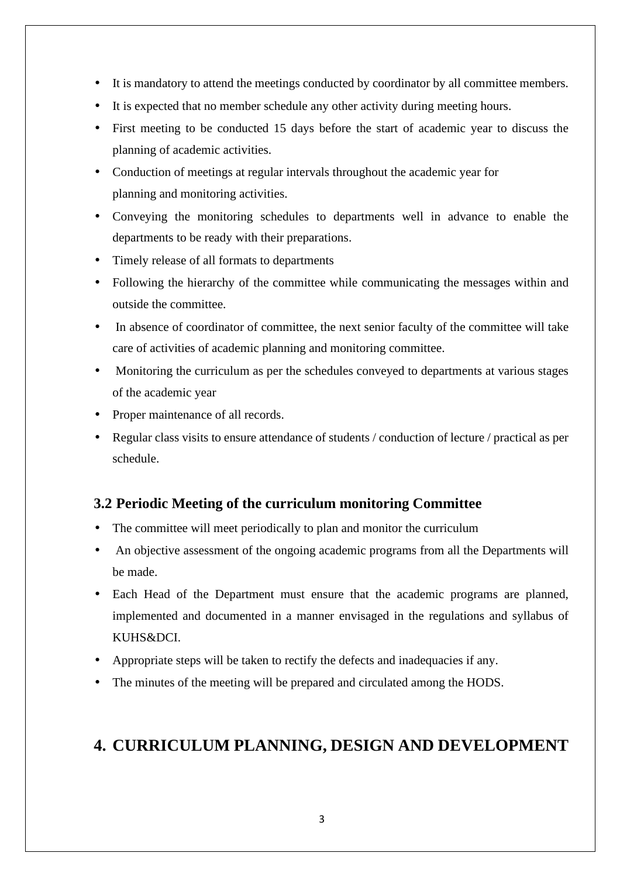- It is mandatory to attend the meetings conducted by coordinator by all committee members.
- It is expected that no member schedule any other activity during meeting hours.
- First meeting to be conducted 15 days before the start of academic year to discuss the planning of academic activities.
- Conduction of meetings at regular intervals throughout the academic year for planning and monitoring activities.
- Conveying the monitoring schedules to departments well in advance to enable the departments to be ready with their preparations.
- Timely release of all formats to departments
- Following the hierarchy of the committee while communicating the messages within and outside the committee.
- In absence of coordinator of committee, the next senior faculty of the committee will take care of activities of academic planning and monitoring committee.
- Monitoring the curriculum as per the schedules conveyed to departments at various stages of the academic year
- Proper maintenance of all records.
- Regular class visits to ensure attendance of students / conduction of lecture / practical as per schedule.

#### **3.2 Periodic Meeting of the curriculum monitoring Committee**

- The committee will meet periodically to plan and monitor the curriculum
- An objective assessment of the ongoing academic programs from all the Departments will be made.
- Each Head of the Department must ensure that the academic programs are planned, implemented and documented in a manner envisaged in the regulations and syllabus of KUHS&DCI.
- Appropriate steps will be taken to rectify the defects and inadequacies if any.
- The minutes of the meeting will be prepared and circulated among the HODS.

## **4. CURRICULUM PLANNING, DESIGN AND DEVELOPMENT**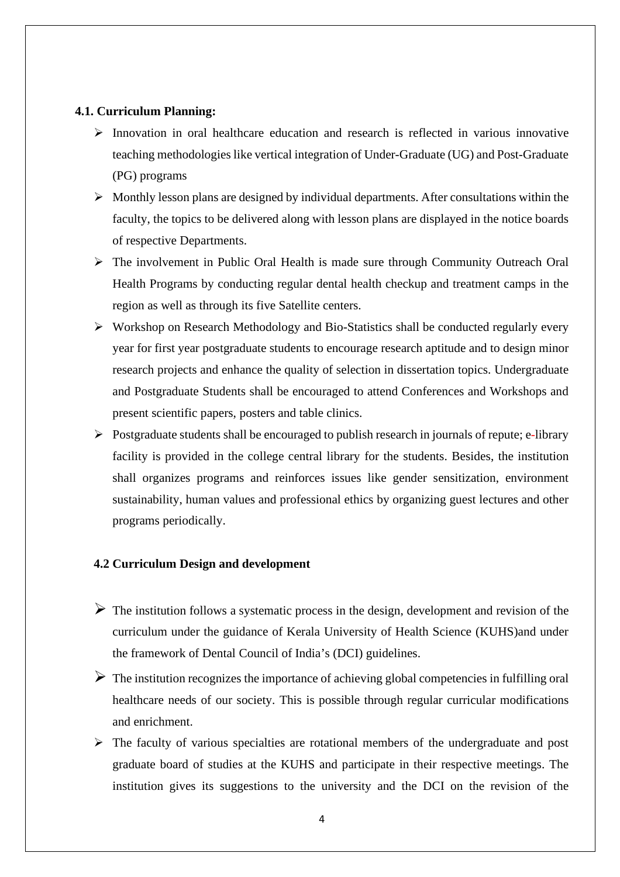#### **4.1. Curriculum Planning:**

- $\triangleright$  Innovation in oral healthcare education and research is reflected in various innovative teaching methodologies like vertical integration of Under-Graduate (UG) and Post-Graduate (PG) programs
- $\triangleright$  Monthly lesson plans are designed by individual departments. After consultations within the faculty, the topics to be delivered along with lesson plans are displayed in the notice boards of respective Departments.
- The involvement in Public Oral Health is made sure through Community Outreach Oral Health Programs by conducting regular dental health checkup and treatment camps in the region as well as through its five Satellite centers.
- $\triangleright$  Workshop on Research Methodology and Bio-Statistics shall be conducted regularly every year for first year postgraduate students to encourage research aptitude and to design minor research projects and enhance the quality of selection in dissertation topics. Undergraduate and Postgraduate Students shall be encouraged to attend Conferences and Workshops and present scientific papers, posters and table clinics.
- $\triangleright$  Postgraduate students shall be encouraged to publish research in journals of repute; e-library facility is provided in the college central library for the students. Besides, the institution shall organizes programs and reinforces issues like gender sensitization, environment sustainability, human values and professional ethics by organizing guest lectures and other programs periodically.

#### **4.2 Curriculum Design and development**

- $\triangleright$  The institution follows a systematic process in the design, development and revision of the curriculum under the guidance of Kerala University of Health Science (KUHS)and under the framework of Dental Council of India's (DCI) guidelines.
- $\triangleright$  The institution recognizes the importance of achieving global competencies in fulfilling oral healthcare needs of our society. This is possible through regular curricular modifications and enrichment.
- $\triangleright$  The faculty of various specialties are rotational members of the undergraduate and post graduate board of studies at the KUHS and participate in their respective meetings. The institution gives its suggestions to the university and the DCI on the revision of the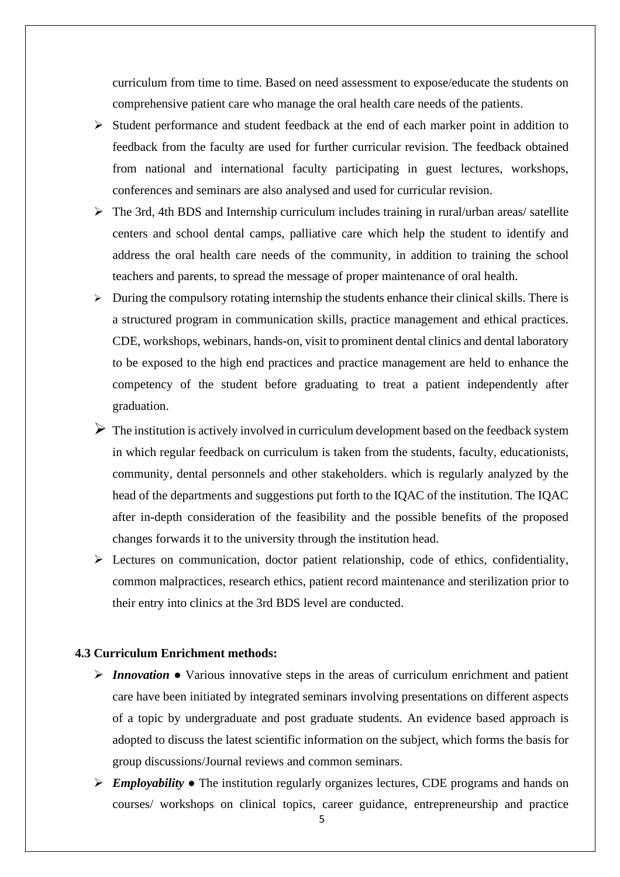curriculum from time to time. Based on need assessment to expose/educate the students on comprehensive patient care who manage the oral health care needs of the patients.

- $\triangleright$  Student performance and student feedback at the end of each marker point in addition to feedback from the faculty are used for further curricular revision. The feedback obtained from national and international faculty participating in guest lectures, workshops, conferences and seminars are also analysed and used for curricular revision.
- $\triangleright$  The 3rd, 4th BDS and Internship curriculum includes training in rural/urban areas/ satellite centers and school dental camps, palliative care which help the student to identify and address the oral health care needs of the community, in addition to training the school teachers and parents, to spread the message of proper maintenance of oral health.
- $\triangleright$  During the compulsory rotating internship the students enhance their clinical skills. There is a structured program in communication skills, practice management and ethical practices. CDE, workshops, webinars, hands-on, visit to prominent dental clinics and dental laboratory to be exposed to the high end practices and practice management are held to enhance the competency of the student before graduating to treat a patient independently after graduation.
- $\triangleright$  The institution is actively involved in curriculum development based on the feedback system in which regular feedback on curriculum is taken from the students, faculty, educationists, community, dental personnels and other stakeholders. which is regularly analyzed by the head of the departments and suggestions put forth to the IQAC of the institution. The IQAC after in-depth consideration of the feasibility and the possible benefits of the proposed changes forwards it to the university through the institution head.
- $\triangleright$  Lectures on communication, doctor patient relationship, code of ethics, confidentiality, common malpractices, research ethics, patient record maintenance and sterilization prior to their entry into clinics at the 3rd BDS level are conducted.

#### **4.3 Curriculum Enrichment methods:**

- *Innovation* Various innovative steps in the areas of curriculum enrichment and patient care have been initiated by integrated seminars involving presentations on different aspects of a topic by undergraduate and post graduate students. An evidence based approach is adopted to discuss the latest scientific information on the subject, which forms the basis for group discussions/Journal reviews and common seminars.
- *Employability* The institution regularly organizes lectures, CDE programs and hands on courses/ workshops on clinical topics, career guidance, entrepreneurship and practice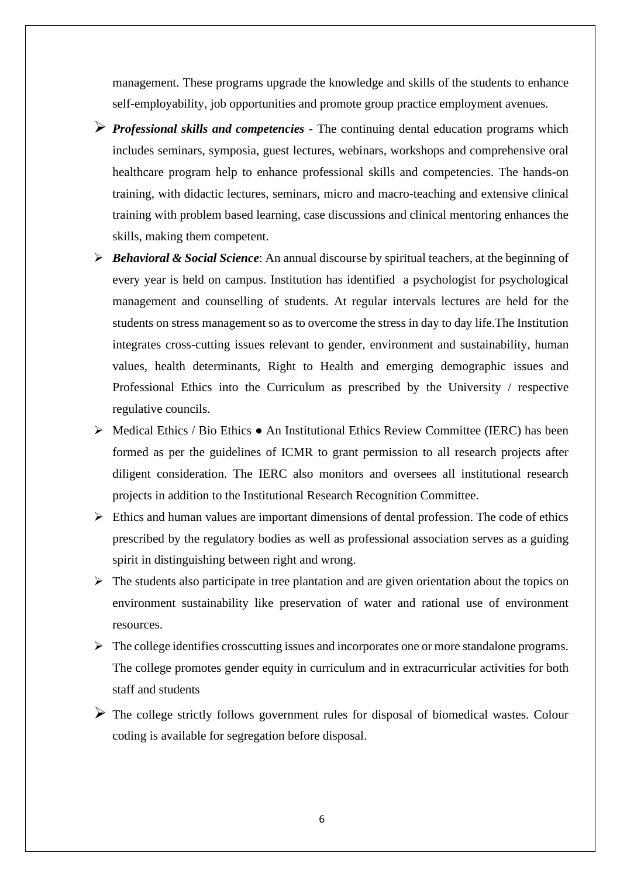management. These programs upgrade the knowledge and skills of the students to enhance self-employability, job opportunities and promote group practice employment avenues.

- *Professional skills and competencies* The continuing dental education programs which includes seminars, symposia, guest lectures, webinars, workshops and comprehensive oral healthcare program help to enhance professional skills and competencies. The hands-on training, with didactic lectures, seminars, micro and macro-teaching and extensive clinical training with problem based learning, case discussions and clinical mentoring enhances the skills, making them competent.
- *Behavioral & Social Science*: An annual discourse by spiritual teachers, at the beginning of every year is held on campus. Institution has identified a psychologist for psychological management and counselling of students. At regular intervals lectures are held for the students on stress management so as to overcome the stress in day to day life.The Institution integrates cross-cutting issues relevant to gender, environment and sustainability, human values, health determinants, Right to Health and emerging demographic issues and Professional Ethics into the Curriculum as prescribed by the University / respective regulative councils.
- $\triangleright$  Medical Ethics / Bio Ethics An Institutional Ethics Review Committee (IERC) has been formed as per the guidelines of ICMR to grant permission to all research projects after diligent consideration. The IERC also monitors and oversees all institutional research projects in addition to the Institutional Research Recognition Committee.
- $\triangleright$  Ethics and human values are important dimensions of dental profession. The code of ethics prescribed by the regulatory bodies as well as professional association serves as a guiding spirit in distinguishing between right and wrong.
- $\triangleright$  The students also participate in tree plantation and are given orientation about the topics on environment sustainability like preservation of water and rational use of environment resources.
- $\triangleright$  The college identifies crosscutting issues and incorporates one or more standalone programs. The college promotes gender equity in curriculum and in extracurricular activities for both staff and students
- $\triangleright$  The college strictly follows government rules for disposal of biomedical wastes. Colour coding is available for segregation before disposal.